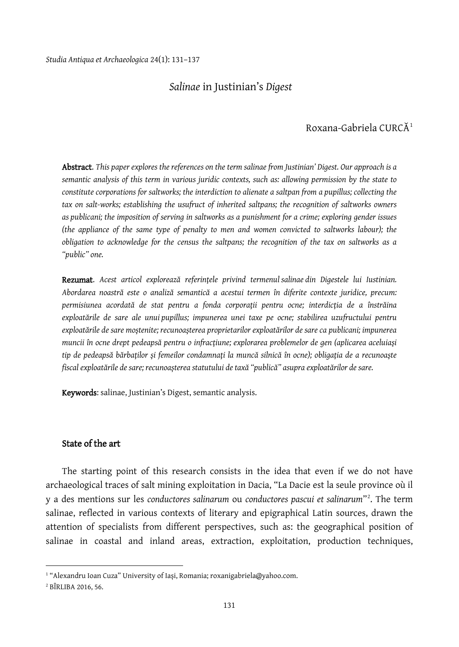## *Salinae* in Justinian's *Digest*

# Roxana-Gabriela CURCĂ[1](#page-0-0)

Abstract. *This paper explores the references on the term salinae from Justinian' Digest. Our approach is a semantic analysis of this term in various juridic contexts, such as: allowing permission by the state to constitute corporations for saltworks; the interdiction to alienate a saltpan from a pupillus; collecting the tax on salt-works; establishing the usufruct of inherited saltpans; the recognition of saltworks owners as publicani; the imposition of serving in saltworks as a punishment for a crime; exploring gender issues (the appliance of the same type of penalty to men and women convicted to saltworks labour); the obligation to acknowledge for the census the saltpans; the recognition of the tax on saltworks as a "public" one.*

Rezumat. *Acest articol explorează referinţele privind termenul salinae din Digestele lui Iustinian. Abordarea noastră este o analiză semantică a acestui termen în diferite contexte juridice, precum: permisiunea acordată de stat pentru a fonda corporaţii pentru ocne; interdicţia de a înstrăina exploatările de sare ale unui pupillus; impunerea unei taxe pe ocne; stabilirea uzufructului pentru exploatările de sare moştenite; recunoaşterea proprietarilor exploatărilor de sare ca publicani; impunerea muncii în ocne drept pedeapsă pentru o infracţiune; explorarea problemelor de gen (aplicarea aceluiaşi tip de pedeapsă bărbaţilor şi femeilor condamnaţi la muncă silnică în ocne); obligaţia de a recunoaşte fiscal exploatările de sare; recunoașterea statutului de taxă "publică" asupra exploatărilor de sare.*

Keywords: salinae, Justinian's Digest, semantic analysis.

#### State of the art

The starting point of this research consists in the idea that even if we do not have archaeological traces of salt mining exploitation in Dacia, "La Dacie est la seule province où il y a des mentions sur les *conductores salinarum* ou *conductores pascui et salinarum*"[2](#page-0-1) . The term salinae, reflected in various contexts of literary and epigraphical Latin sources, drawn the attention of specialists from different perspectives, such as: the geographical position of salinae in coastal and inland areas, extraction, exploitation, production techniques,

<span id="page-0-0"></span><sup>&</sup>lt;sup>1</sup> "Alexandru Ioan Cuza" University of Iași, Romania; roxanigabriela@yahoo.com.

<span id="page-0-1"></span><sup>2</sup> BÎRLIBA 2016, 56.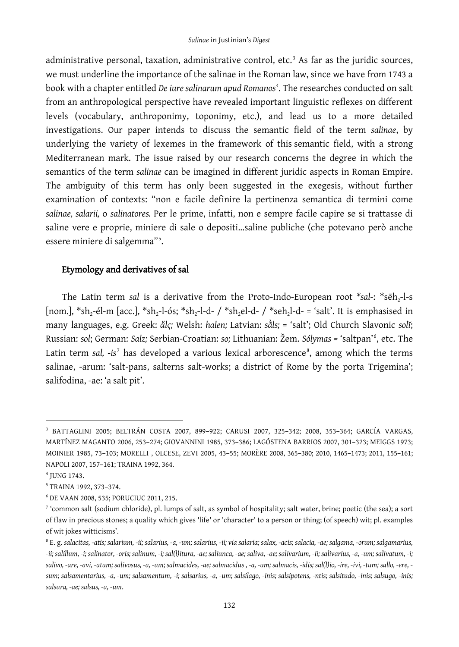administrative personal, taxation, administrative control, etc.<sup>[3](#page-1-0)</sup> As far as the juridic sources, we must underline the importance of the salinae in the Roman law, since we have from 1743 a book with a chapter entitled *De iure salinarum apud Romanos[4](#page-1-1)* . The researches conducted on salt from an anthropological perspective have revealed important linguistic reflexes on different levels (vocabulary, anthroponimy, toponimy, etc.), and lead us to a more detailed investigations. Our paper intends to discuss the semantic field of the term *salinae*, by underlying the variety of lexemes in the framework of this semantic field, with a strong Mediterranean mark. The issue raised by our research concerns the degree in which the semantics of the term *salinae* can be imagined in different juridic aspects in Roman Empire. The ambiguity of this term has only been suggested in the exegesis, without further examination of contexts: "non e facile definire la pertinenza semantica di termini come *salinae, salarii,* o *salinatores.* Per le prime, infatti, non e sempre facile capire se si trattasse di saline vere e proprie, miniere di sale o depositi…saline publiche (che potevano però anche essere miniere di salgemma"[5](#page-1-2) .

### Etymology and derivatives of sal

The Latin term *sal* is a derivative from the Proto-Indo-European root \*sal-: \*sēh<sub>2</sub>-l-s [nom.], \*sh<sub>2</sub>-él-m [acc.], \*sh<sub>2</sub>-l-ós; \*sh<sub>2</sub>-l-d- / \*sh<sub>2</sub>el-d- / \*seh<sub>2</sub>l-d- = 'salt'. It is emphasised in many languages, e.g. Greek: *ἅlς;* Welsh: *halen;* Latvian: *sằls;* = 'salt'; Old Church Slavonic *solĭ*; Russian: *sol*; German: *Salz;* Serbian-Croatian: *so;* Lithuanian: Žem. *Sólymas =* 'saltpan'[6](#page-1-3) , etc. The Latin term *sal, -is<sup>[7](#page-1-4)</sup>* has developed a various lexical arborescence<sup>[8](#page-1-5)</sup>, among which the terms salinae, -arum: 'salt-pans, salterns salt-works; a district of Rome by the porta Trigemina'; salifodina, -ae: 'a salt pit'.

<span id="page-1-0"></span><sup>3</sup> BATTAGLINI 2005; BELTRÁN COSTA 2007, 899–922; CARUSI 2007, 325–342; 2008, 353–364; GARCÍA VARGAS, MARTÍNEZ MAGANTO 2006, 253–274; GIOVANNINI 1985, 373–386; LAGÓSTENA BARRIOS 2007, 301–323; MEIGGS 1973; MOINIER 1985, 73–103; MORELLI , OLCESE, ZEVI 2005, 43–55; MORÈRE 2008, 365–380; 2010, 1465–1473; 2011, 155–161; NAPOLI 2007, 157–161; TRAINA 1992, 364.

<span id="page-1-1"></span><sup>4</sup> JUNG 1743.

<span id="page-1-2"></span><sup>5</sup> TRAINA 1992, 373–374.

<span id="page-1-3"></span><sup>6</sup> DE VAAN 2008, 535; PORUCIUC 2011, 215.

<span id="page-1-4"></span><sup>7</sup> 'common salt (sodium chloride), pl. lumps of salt, as symbol of hospitality; salt water, brine; poetic (the sea); a sort of flaw in precious stones; a quality which gives 'life' or 'character' to a person or thing; (of speech) wit; pl. examples of wit jokes witticisms'.

<span id="page-1-5"></span><sup>8</sup> E. g. *salacitas, -atis; salarium, -ii; salarius, -a, -um; salarius, -ii; via salaria; salax, -acis; salacia, -ae; salgama, -orum; salgamarius, -ii; salillum, -i; salinator, -oris; salinum, -i; sal(l)itura, -ae; saliunca, -ae; saliva, -ae; salivarium, -ii; salivarius, -a, -um; salivatum, -i; salivo, -are, -avi, -atum; salivosus, -a, -um; salmacides, -ae; salmacidus , -a, -um; salmacis, -idis; sal(l)io, -ire, -ivi, -tum; sallo, -ere, sum; salsamentarius, -a, -um; salsamentum, -i; salsarius, -a, -um; salsilago, -inis; salsipotens, -ntis; salsitudo, -inis; salsugo, -inis; salsura, -ae; salsus, -a, -um*.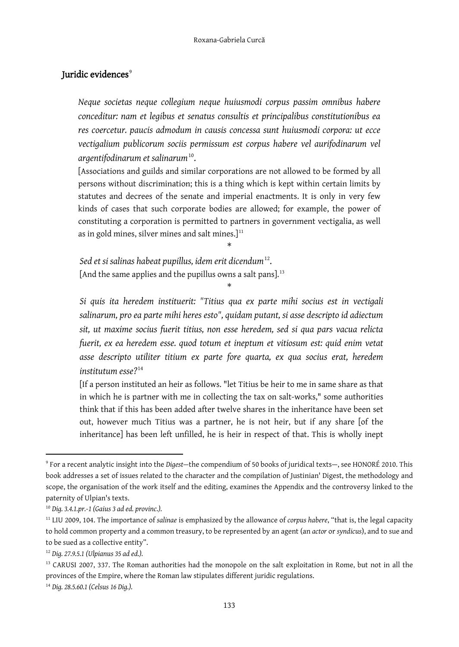#### Juridic evidences $^{\circ}$

*Neque societas neque collegium neque huiusmodi corpus passim omnibus habere conceditur: nam et legibus et senatus consultis et principalibus constitutionibus ea res coercetur. paucis admodum in causis concessa sunt huiusmodi corpora: ut ecce vectigalium publicorum sociis permissum est corpus habere vel aurifodinarum vel argentifodinarum et salinarum*[10.](#page-2-1)

[Associations and guilds and similar corporations are not allowed to be formed by all persons without discrimination; this is a thing which is kept within certain limits by statutes and decrees of the senate and imperial enactments. It is only in very few kinds of cases that such corporate bodies are allowed; for example, the power of constituting a corporation is permitted to partners in government vectigalia, as well as in gold mines, silver mines and salt mines. $]^{11}$  $]^{11}$  $]^{11}$ 

*Sed et si salinas habeat pupillus, idem erit dicendum*[12](#page-2-3). [And the same applies and the pupillus owns a salt pans].<sup>[13](#page-2-4)</sup>

\*

\*

*Si quis ita heredem instituerit: "Titius qua ex parte mihi socius est in vectigali salinarum, pro ea parte mihi heres esto", quidam putant, si asse descripto id adiectum sit, ut maxime socius fuerit titius, non esse heredem, sed si qua pars vacua relicta fuerit, ex ea heredem esse. quod totum et ineptum et vitiosum est: quid enim vetat asse descripto utiliter titium ex parte fore quarta, ex qua socius erat, heredem institutum esse?*[14](#page-2-5)

[If a person instituted an heir as follows. "let Titius be heir to me in same share as that in which he is partner with me in collecting the tax on salt-works," some authorities think that if this has been added after twelve shares in the inheritance have been set out, however much Titius was a partner, he is not heir, but if any share [of the inheritance] has been left unfilled, he is heir in respect of that. This is wholly inept

<span id="page-2-0"></span><sup>9</sup> For a recent analytic insight into the *Digest—*the compendium of 50 books of juridical texts—, see HONORÉ 2010. This book addresses a set of issues related to the character and the compilation of Justinian' Digest, the methodology and scope, the organisation of the work itself and the editing, examines the Appendix and the controversy linked to the paternity of Ulpian's texts.

<span id="page-2-1"></span><sup>10</sup> *Dig. 3.4.1.pr.-1 (Gaius 3 ad ed. provinc.).*

<span id="page-2-2"></span><sup>11</sup> LIU 2009, 104. The importance of *salinae* is emphasized by the allowance of *corpus habere*, "that is, the legal capacity to hold common property and a common treasury, to be represented by an agent (an *actor* or *syndicus*), and to sue and to be sued as a collective entity".

<span id="page-2-3"></span><sup>12</sup> *Dig. 27.9.5.1 (Ulpianus 35 ad ed.).*

<span id="page-2-4"></span><sup>&</sup>lt;sup>13</sup> CARUSI 2007, 337. The Roman authorities had the monopole on the salt exploitation in Rome, but not in all the provinces of the Empire, where the Roman law stipulates different juridic regulations.

<span id="page-2-5"></span><sup>14</sup> *Dig. 28.5.60.1 (Celsus 16 Dig.).*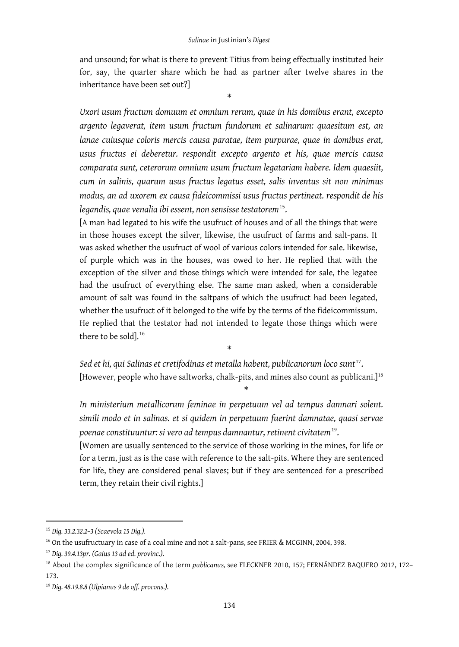and unsound; for what is there to prevent Titius from being effectually instituted heir for, say, the quarter share which he had as partner after twelve shares in the inheritance have been set out?]

\*

*Uxori usum fructum domuum et omnium rerum, quae in his domibus erant, excepto argento legaverat, item usum fructum fundorum et salinarum: quaesitum est, an lanae cuiusque coloris mercis causa paratae, item purpurae, quae in domibus erat, usus fructus ei deberetur. respondit excepto argento et his, quae mercis causa comparata sunt, ceterorum omnium usum fructum legatariam habere. Idem quaesiit, cum in salinis, quarum usus fructus legatus esset, salis inventus sit non minimus modus, an ad uxorem ex causa fideicommissi usus fructus pertineat. respondit de his legandis, quae venalia ibi essent, non sensisse testatorem*[15](#page-3-0).

[A man had legated to his wife the usufruct of houses and of all the things that were in those houses except the silver, likewise, the usufruct of farms and salt-pans. It was asked whether the usufruct of wool of various colors intended for sale. likewise, of purple which was in the houses, was owed to her. He replied that with the exception of the silver and those things which were intended for sale, the legatee had the usufruct of everything else. The same man asked, when a considerable amount of salt was found in the saltpans of which the usufruct had been legated, whether the usufruct of it belonged to the wife by the terms of the fideicommissum. He replied that the testator had not intended to legate those things which were there to be sold]. $^{16}$  $^{16}$  $^{16}$ 

*Sed et hi, qui Salinas et cretifodinas et metalla habent, publicanorum loco sunt*[17](#page-3-2). [However, people who have saltworks, chalk-pits, and mines also count as publicani.] $^{\scriptscriptstyle 18}$  $^{\scriptscriptstyle 18}$  $^{\scriptscriptstyle 18}$ 

\*

\*

*In ministerium metallicorum feminae in perpetuum vel ad tempus damnari solent. simili modo et in salinas. et si quidem in perpetuum fuerint damnatae, quasi servae poenae constituuntur: si vero ad tempus damnantur, retinent civitatem*[19.](#page-3-4)

[Women are usually sentenced to the service of those working in the mines, for life or for a term, just as is the case with reference to the salt-pits. Where they are sentenced for life, they are considered penal slaves; but if they are sentenced for a prescribed term, they retain their civil rights.]

<span id="page-3-0"></span><sup>15</sup> *Dig. 33.2.32.2–3 (Scaevola 15 Dig.).*

<span id="page-3-1"></span><sup>&</sup>lt;sup>16</sup> On the usufructuary in case of a coal mine and not a salt-pans, see FRIER & MCGINN, 2004, 398.

<span id="page-3-2"></span><sup>17</sup> *Dig. 39.4.13pr. (Gaius 13 ad ed. provinc.).*

<span id="page-3-3"></span><sup>18</sup> About the complex significance of the term *publicanus,* see FLECKNER 2010, 157; FERNÁNDEZ BAQUERO 2012, 172– 173.

<span id="page-3-4"></span><sup>19</sup> *Dig. 48.19.8.8 (Ulpianus 9 de off. procons.).*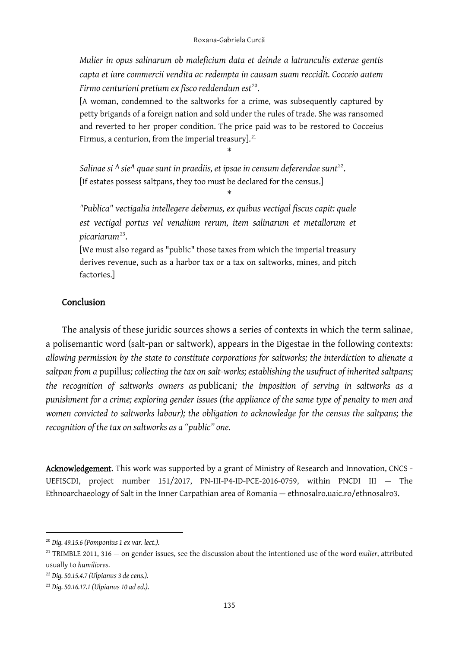*Mulier in opus salinarum ob maleficium data et deinde a latrunculis exterae gentis capta et iure commercii vendita ac redempta in causam suam reccidit. Cocceio autem Firmo centurioni pretium ex fisco reddendum est*<sup>[20](#page-4-0)</sup>.

[A woman, condemned to the saltworks for a crime, was subsequently captured by petty brigands of a foreign nation and sold under the rules of trade. She was ransomed and reverted to her proper condition. The price paid was to be restored to Cocceius Firmus, a centurion, from the imperial treasury]. $^{\scriptscriptstyle 21}$  $^{\scriptscriptstyle 21}$  $^{\scriptscriptstyle 21}$ 

\*

\*

Salinae si <sup> $\Lambda$ </sup> sie<sup> $\Lambda$ </sup> quae sunt in praediis, et ipsae in censum deferendae sunt<sup>22</sup>. [If estates possess saltpans, they too must be declared for the census.]

*"Publica" vectigalia intellegere debemus, ex quibus vectigal fiscus capit: quale est vectigal portus vel venalium rerum, item salinarum et metallorum et picariarum*[23.](#page-4-3)

[We must also regard as "public" those taxes from which the imperial treasury derives revenue, such as a harbor tax or a tax on saltworks, mines, and pitch factories.]

## Conclusion

The analysis of these juridic sources shows a series of contexts in which the term salinae, a polisemantic word (salt-pan or saltwork), appears in the Digestae in the following contexts: *allowing permission by the state to constitute corporations for saltworks; the interdiction to alienate a saltpan from a* pupillus*; collecting the tax on salt-works; establishing the usufruct of inherited saltpans; the recognition of saltworks owners as* publicani*; the imposition of serving in saltworks as a punishment for a crime; exploring gender issues (the appliance of the same type of penalty to men and women convicted to saltworks labour); the obligation to acknowledge for the census the saltpans; the recognition of the tax on saltworks as a "public" one.* 

Acknowledgement. This work was supported by a grant of Ministry of Research and Innovation, CNCS -UEFISCDI, project number 151/2017, PN-III-P4-ID-PCE-2016-0759, within PNCDI III — The Ethnoarchaeology of Salt in the Inner Carpathian area of Romania — ethnosalro.uaic.ro/ethnosalro3.

<span id="page-4-0"></span><sup>20</sup> *Dig. 49.15.6 (Pomponius 1 ex var. lect.).*

<span id="page-4-1"></span><sup>21</sup> TRIMBLE 2011, 316 — on gender issues, see the discussion about the intentioned use of the word *mulier*, attributed usually to *humiliores*.

<span id="page-4-2"></span><sup>22</sup> *Dig. 50.15.4.7 (Ulpianus 3 de cens.).*

<span id="page-4-3"></span><sup>23</sup> *Dig. 50.16.17.1 (Ulpianus 10 ad ed.).*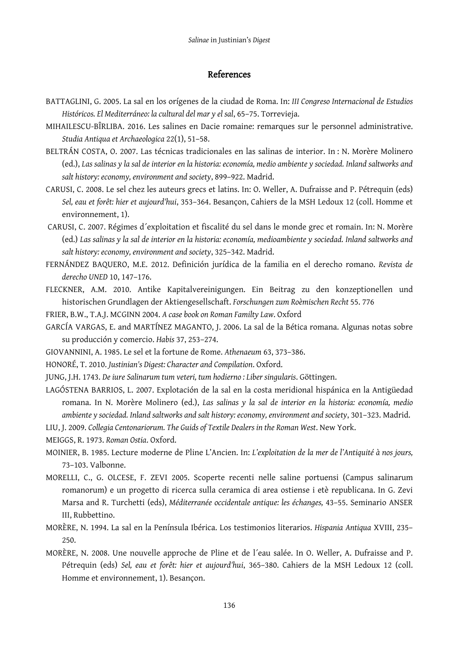#### References

- BATTAGLINI, G. 2005. La sal en los orígenes de la ciudad de Roma. In: *III Congreso Internacional de Estudios Históricos. El Mediterráneo: la cultural del mar y el sal*, 65–75. Torrevieja.
- MIHAILESCU-BÎRLIBA. 2016. Les salines en Dacie romaine: remarques sur le personnel administrative. *Studia Antiqua et Archaeologica* 22(1), 51–58.
- BELTRÁN COSTA, O. 2007. Las técnicas tradicionales en las salinas de interior. In : N. Morère Molinero (ed.), *Las salinas y la sal de interior en la historia: economía, medio ambiente y sociedad. Inland saltworks and salt history: economy, environment and society*, 899–922. Madrid.
- CARUSI, C. 2008. Le sel chez les auteurs grecs et latins. In: O. Weller, A. Dufraisse and P. Pétrequin (eds) *Sel, eau et forêt: hier et aujourd'hui*, 353–364. Besançon, Cahiers de la MSH Ledoux 12 (coll. Homme et environnement, 1).
- CARUSI, C. 2007. Régimes d´exploitation et fiscalité du sel dans le monde grec et romain. In: N. Morère (ed.) *Las salinas y la sal de interior en la historia: economía, medioambiente y sociedad. Inland saltworks and salt history: economy, environment and society*, 325–342. Madrid.
- FERNÁNDEZ BAQUERO, M.E. 2012. Definición jurídica de la familia en el derecho romano. *Revista de derecho UNED* 10, 147–176.
- FLECKNER, A.M. 2010. Antike Kapitalvereinigungen. Ein Beitrag zu den konzeptionellen und historischen Grundlagen der Aktiengesellschaft. *Forschungen zum Roèmischen Recht* 55. 776
- FRIER, B.W., T.A.J. MCGINN 2004. *A case book on Roman Familty Law*. Oxford
- GARCÍA VARGAS, E. and MARTÍNEZ MAGANTO, J. 2006. La sal de la Bética romana. Algunas notas sobre su producción y comercio. *Habis* 37, 253–274.
- GIOVANNINI, A. 1985. Le sel et la fortune de Rome. *Athenaeum* 63, 373–386.
- HONORÉ, T. 2010. *Justinian's Digest: Character and Compilation*. Oxford.
- JUNG, J.H. 1743. *De iure Salinarum tum veteri, tum hodierno : Liber singularis*. Göttingen.
- LAGÓSTENA BARRIOS, L. 2007. Explotación de la sal en la costa meridional hispánica en la Antigüedad romana. In N. Morère Molinero (ed.), *Las salinas y la sal de interior en la historia: economía, medio ambiente y sociedad. Inland saltworks and salt history: economy, environment and society*, 301–323. Madrid.
- LIU, J. 2009. *Collegia Centonariorum. The Guids of Textile Dealers in the Roman West*. New York.
- MEIGGS, R. 1973. *Roman Ostia*. Oxford.
- MOINIER, B. 1985. Lecture moderne de Pline L'Ancien. In: *L'exploitation de la mer de l'Antiquité à nos jours,*  73–103. Valbonne.
- MORELLI, C., G. OLCESE, F. ZEVI 2005. Scoperte recenti nelle saline portuensi (Campus salinarum romanorum) e un progetto di ricerca sulla ceramica di area ostiense i etè republicana. In G. Zevi Marsa and R. Turchetti (eds), *Méditerranée occidentale antique: les échanges,* 43–55. Seminario ANSER III, Rubbettino.
- MORÈRE, N. 1994. La sal en la Península Ibérica. Los testimonios literarios. *Hispania Antiqua* XVIII, 235– 250.
- MORÈRE, N. 2008. Une nouvelle approche de Pline et de l´eau salée. In O. Weller, A. Dufraisse and P. Pétrequin (eds) *Sel, eau et forêt: hier et aujourd'hui*, 365–380. Cahiers de la MSH Ledoux 12 (coll. Homme et environnement, 1). Besançon.